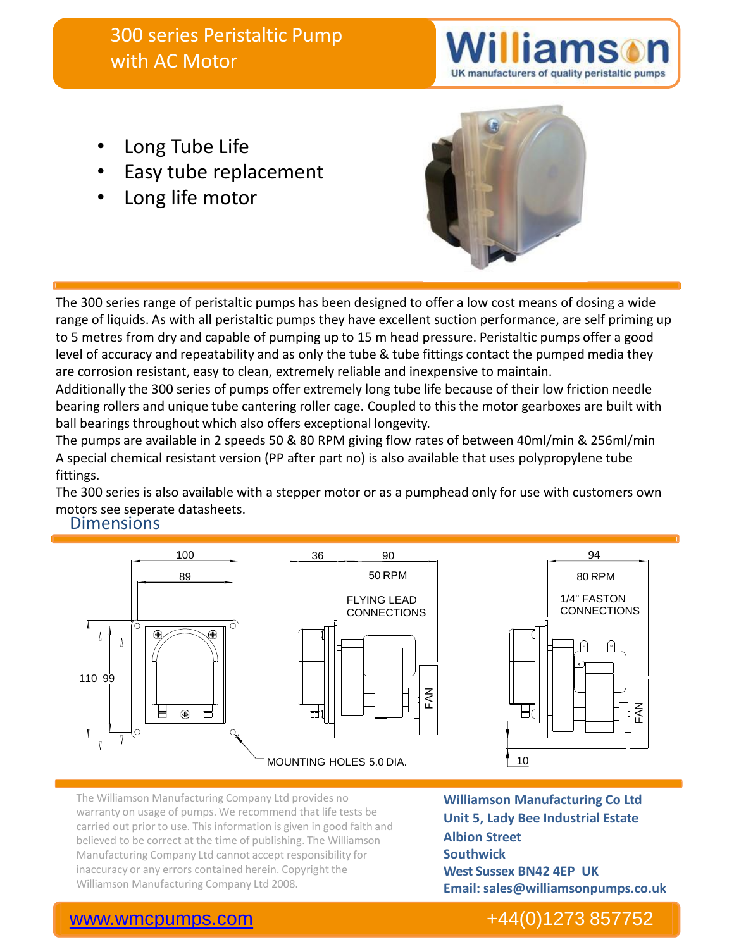# 300 series Peristaltic Pump with AC Motor

UK manufacturers of quality peristaltic pumps

- Long Tube Life
- Easy tube replacement
- Long life motor



The 300 series range of peristaltic pumps has been designed to offer a low cost means of dosing a wide range of liquids. As with all peristaltic pumps they have excellent suction performance, are self priming up to 5 metres from dry and capable of pumping up to 15 m head pressure. Peristaltic pumps offer a good level of accuracy and repeatability and as only the tube & tube fittings contact the pumped media they are corrosion resistant, easy to clean, extremely reliable and inexpensive to maintain.

Additionally the 300 series of pumps offer extremely long tube life because of their low friction needle bearing rollers and unique tube cantering roller cage. Coupled to this the motor gearboxes are built with ball bearings throughout which also offers exceptional longevity.

The pumps are available in 2 speeds 50 & 80 RPM giving flow rates of between 40ml/min & 256ml/min A special chemical resistant version (PP after part no) is also available that uses polypropylene tube fittings.

The 300 series is also available with a stepper motor or as a pumphead only for use with customers own motors see seperate datasheets.

#### **Dimensions**



The Williamson Manufacturing Company Ltd provides no warranty on usage of pumps. We recommend that life tests be carried out prior to use. This information is given in good faith and believed to be correct at the time of publishing. The Williamson Manufacturing Company Ltd cannot accept responsibility for inaccuracy or any errors contained herein. Copyright the Williamson Manufacturing Company Ltd 2008.

**Williamson Manufacturing Co Ltd Unit 5, Lady Bee Industrial Estate Albion Street Southwick West Sussex BN42 4EP UK Email: sales@williamsonpumps.co.uk**

### [www.wmcpumps.com](http://www.wmcpumps.com/) +44(0)1273 857752